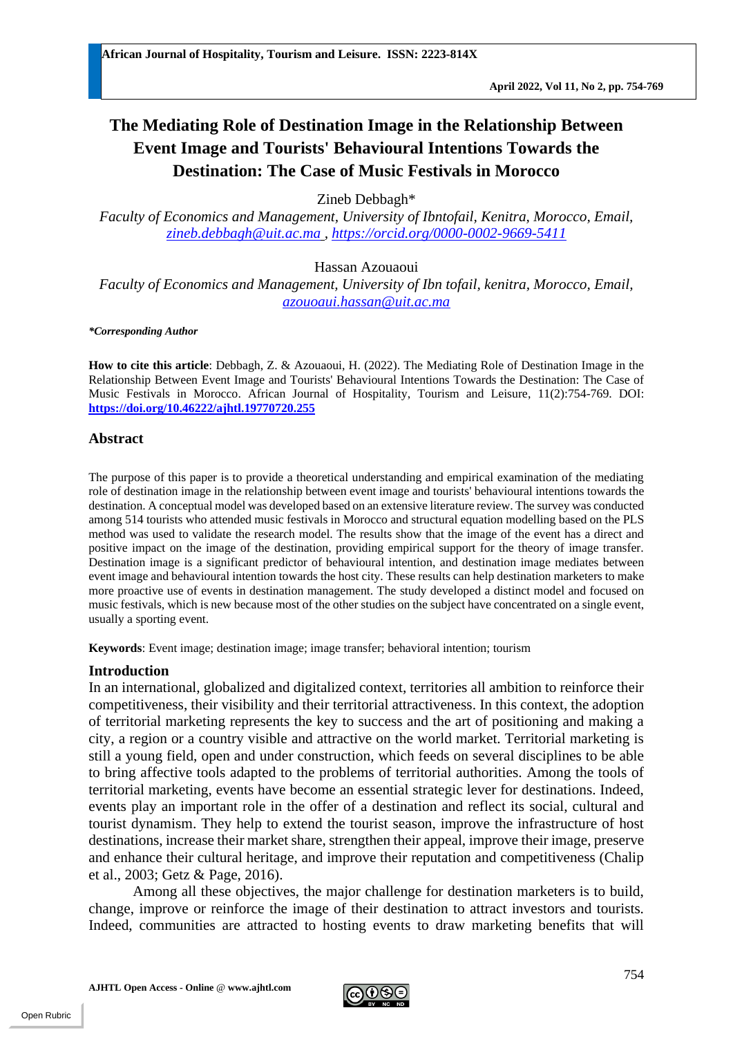# **The Mediating Role of Destination Image in the Relationship Between Event Image and Tourists' Behavioural Intentions Towards the Destination: The Case of Music Festivals in Morocco**

Zineb Debbagh\*

*Faculty of Economics and Management, University of Ibntofail, Kenitra, Morocco, Email, [zineb.debbagh@uit.ac.ma](mailto:zineb.debbagh@uit.ac.ma) , <https://orcid.org/0000-0002-9669-5411>*

Hassan Azouaoui

*Faculty of Economics and Management, University of Ibn tofail, kenitra, Morocco, Email, [azouoaui.hassan@uit.ac.ma](mailto:azouoaui.hassan@uit.ac.ma)*

*\*Corresponding Author*

**How to cite this article**: Debbagh, Z. & Azouaoui, H. (2022). The Mediating Role of Destination Image in the Relationship Between Event Image and Tourists' Behavioural Intentions Towards the Destination: The Case of Music Festivals in Morocco. African Journal of Hospitality, Tourism and Leisure, 11(2):754-769. DOI: **<https://doi.org/10.46222/ajhtl.19770720.255>**

#### **Abstract**

The purpose of this paper is to provide a theoretical understanding and empirical examination of the mediating role of destination image in the relationship between event image and tourists' behavioural intentions towards the destination. A conceptual model was developed based on an extensive literature review. The survey was conducted among 514 tourists who attended music festivals in Morocco and structural equation modelling based on the PLS method was used to validate the research model. The results show that the image of the event has a direct and positive impact on the image of the destination, providing empirical support for the theory of image transfer. Destination image is a significant predictor of behavioural intention, and destination image mediates between event image and behavioural intention towards the host city. These results can help destination marketers to make more proactive use of events in destination management. The study developed a distinct model and focused on music festivals, which is new because most of the other studies on the subject have concentrated on a single event, usually a sporting event.

**Keywords**: Event image; destination image; image transfer; behavioral intention; tourism

## **Introduction**

In an international, globalized and digitalized context, territories all ambition to reinforce their competitiveness, their visibility and their territorial attractiveness. In this context, the adoption of territorial marketing represents the key to success and the art of positioning and making a city, a region or a country visible and attractive on the world market. Territorial marketing is still a young field, open and under construction, which feeds on several disciplines to be able to bring affective tools adapted to the problems of territorial authorities. Among the tools of territorial marketing, events have become an essential strategic lever for destinations. Indeed, events play an important role in the offer of a destination and reflect its social, cultural and tourist dynamism. They help to extend the tourist season, improve the infrastructure of host destinations, increase their market share, strengthen their appeal, improve their image, preserve and enhance their cultural heritage, and improve their reputation and competitiveness (Chalip et al., 2003; Getz & Page, 2016).

Among all these objectives, the major challenge for destination marketers is to build, change, improve or reinforce the image of their destination to attract investors and tourists. Indeed, communities are attracted to hosting events to draw marketing benefits that will

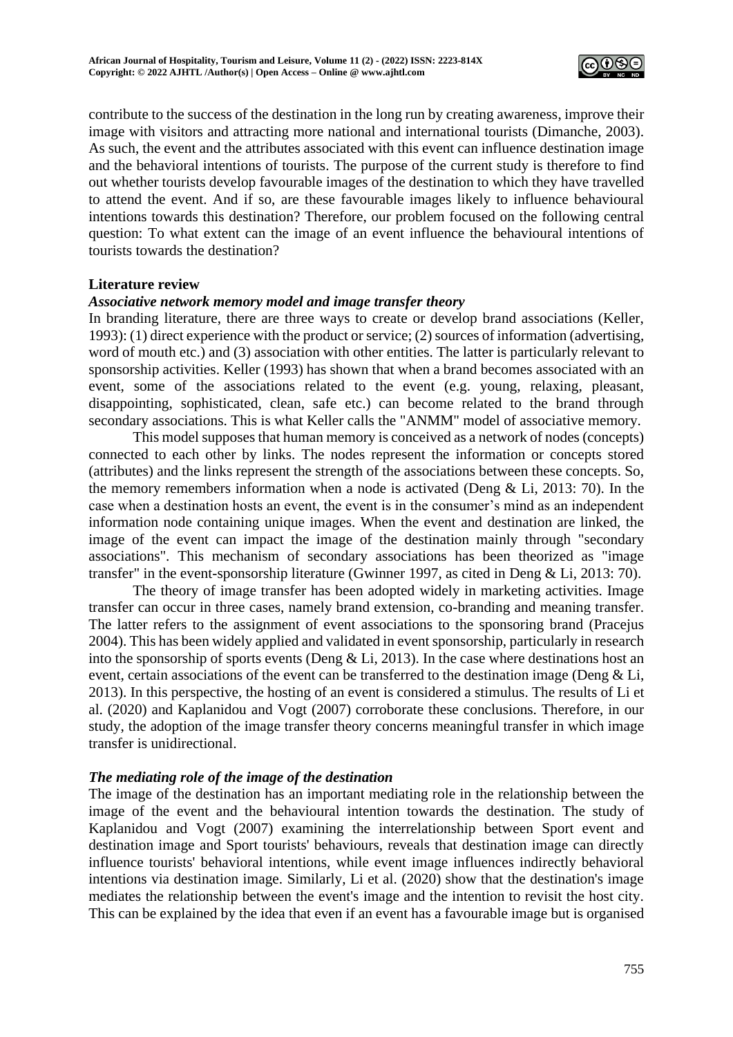

contribute to the success of the destination in the long run by creating awareness, improve their image with visitors and attracting more national and international tourists (Dimanche, 2003). As such, the event and the attributes associated with this event can influence destination image and the behavioral intentions of tourists. The purpose of the current study is therefore to find out whether tourists develop favourable images of the destination to which they have travelled to attend the event. And if so, are these favourable images likely to influence behavioural intentions towards this destination? Therefore, our problem focused on the following central question: To what extent can the image of an event influence the behavioural intentions of tourists towards the destination?

## **Literature review**

## *Associative network memory model and image transfer theory*

In branding literature, there are three ways to create or develop brand associations (Keller, 1993): (1) direct experience with the product or service; (2) sources of information (advertising, word of mouth etc.) and (3) association with other entities. The latter is particularly relevant to sponsorship activities. Keller (1993) has shown that when a brand becomes associated with an event, some of the associations related to the event (e.g. young, relaxing, pleasant, disappointing, sophisticated, clean, safe etc.) can become related to the brand through secondary associations. This is what Keller calls the "ANMM" model of associative memory.

This model supposes that human memory is conceived as a network of nodes (concepts) connected to each other by links. The nodes represent the information or concepts stored (attributes) and the links represent the strength of the associations between these concepts. So, the memory remembers information when a node is activated (Deng  $&$  Li, 2013: 70). In the case when a destination hosts an event, the event is in the consumer's mind as an independent information node containing unique images. When the event and destination are linked, the image of the event can impact the image of the destination mainly through "secondary associations". This mechanism of secondary associations has been theorized as "image transfer" in the event-sponsorship literature (Gwinner 1997, as cited in Deng & Li, 2013: 70).

The theory of image transfer has been adopted widely in marketing activities. Image transfer can occur in three cases, namely brand extension, co-branding and meaning transfer. The latter refers to the assignment of event associations to the sponsoring brand (Pracejus 2004). This has been widely applied and validated in event sponsorship, particularly in research into the sponsorship of sports events (Deng  $&$  Li, 2013). In the case where destinations host an event, certain associations of the event can be transferred to the destination image (Deng & Li, 2013). In this perspective, the hosting of an event is considered a stimulus. The results of Li et al. (2020) and Kaplanidou and Vogt (2007) corroborate these conclusions. Therefore, in our study, the adoption of the image transfer theory concerns meaningful transfer in which image transfer is unidirectional.

## *The mediating role of the image of the destination*

The image of the destination has an important mediating role in the relationship between the image of the event and the behavioural intention towards the destination. The study of Kaplanidou and Vogt (2007) examining the interrelationship between Sport event and destination image and Sport tourists' behaviours, reveals that destination image can directly influence tourists' behavioral intentions, while event image influences indirectly behavioral intentions via destination image. Similarly, Li et al. (2020) show that the destination's image mediates the relationship between the event's image and the intention to revisit the host city. This can be explained by the idea that even if an event has a favourable image but is organised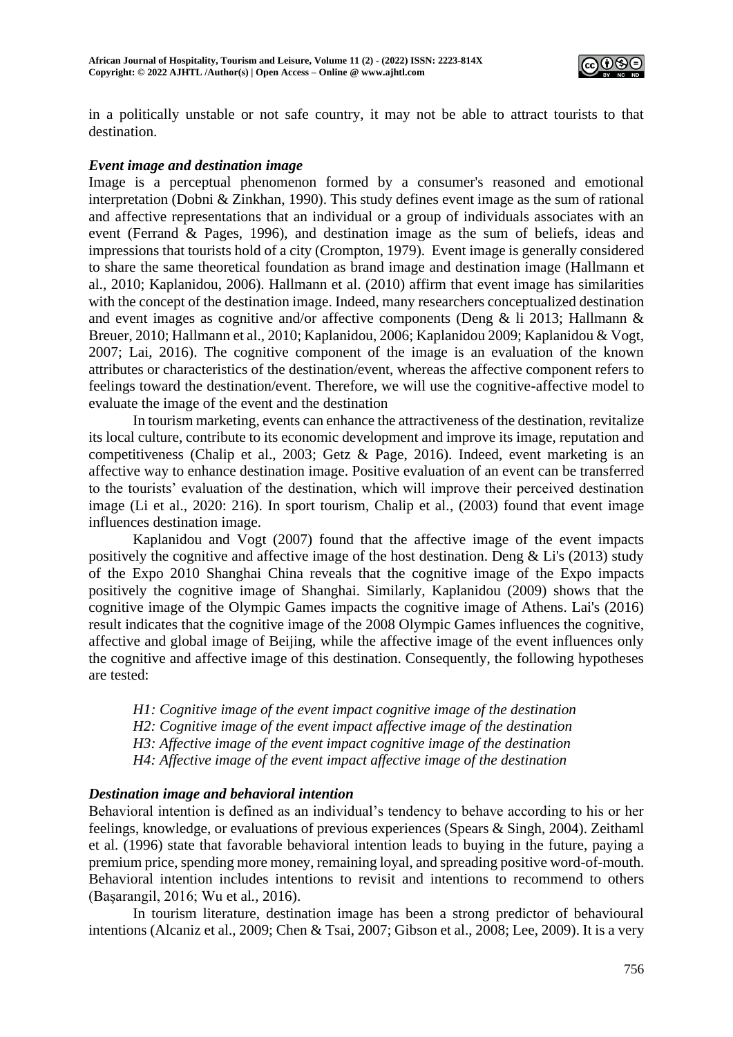

in a politically unstable or not safe country, it may not be able to attract tourists to that destination.

## *Event image and destination image*

Image is a perceptual phenomenon formed by a consumer's reasoned and emotional interpretation (Dobni & Zinkhan, 1990). This study defines event image as the sum of rational and affective representations that an individual or a group of individuals associates with an event (Ferrand & Pages, 1996), and destination image as the sum of beliefs, ideas and impressions that tourists hold of a city (Crompton, 1979). Event image is generally considered to share the same theoretical foundation as brand image and destination image (Hallmann et al., 2010; Kaplanidou, 2006). Hallmann et al. (2010) affirm that event image has similarities with the concept of the destination image. Indeed, many researchers conceptualized destination and event images as cognitive and/or affective components (Deng & li 2013; Hallmann & Breuer, 2010; Hallmann et al., 2010; Kaplanidou, 2006; Kaplanidou 2009; Kaplanidou & Vogt, 2007; Lai, 2016). The cognitive component of the image is an evaluation of the known attributes or characteristics of the destination/event, whereas the affective component refers to feelings toward the destination/event. Therefore, we will use the cognitive-affective model to evaluate the image of the event and the destination

In tourism marketing, events can enhance the attractiveness of the destination, revitalize its local culture, contribute to its economic development and improve its image, reputation and competitiveness (Chalip et al., 2003; Getz & Page, 2016). Indeed, event marketing is an affective way to enhance destination image. Positive evaluation of an event can be transferred to the tourists' evaluation of the destination, which will improve their perceived destination image (Li et al., 2020: 216). In sport tourism, Chalip et al., (2003) found that event image influences destination image.

Kaplanidou and Vogt (2007) found that the affective image of the event impacts positively the cognitive and affective image of the host destination. Deng & Li's (2013) study of the Expo 2010 Shanghai China reveals that the cognitive image of the Expo impacts positively the cognitive image of Shanghai. Similarly, Kaplanidou (2009) shows that the cognitive image of the Olympic Games impacts the cognitive image of Athens. Lai's (2016) result indicates that the cognitive image of the 2008 Olympic Games influences the cognitive, affective and global image of Beijing, while the affective image of the event influences only the cognitive and affective image of this destination. Consequently, the following hypotheses are tested:

*H1: Cognitive image of the event impact cognitive image of the destination H2: Cognitive image of the event impact affective image of the destination H3: Affective image of the event impact cognitive image of the destination H4: Affective image of the event impact affective image of the destination*

# *Destination image and behavioral intention*

Behavioral intention is defined as an individual's tendency to behave according to his or her feelings, knowledge, or evaluations of previous experiences (Spears & Singh, 2004). Zeithaml et al. (1996) state that favorable behavioral intention leads to buying in the future, paying a premium price, spending more money, remaining loyal, and spreading positive word-of-mouth. Behavioral intention includes intentions to revisit and intentions to recommend to others (Başarangil, 2016; Wu et al*.*, 2016).

In tourism literature, destination image has been a strong predictor of behavioural intentions (Alcaniz et al., 2009; Chen & Tsai, 2007; Gibson et al., 2008; Lee, 2009). It is a very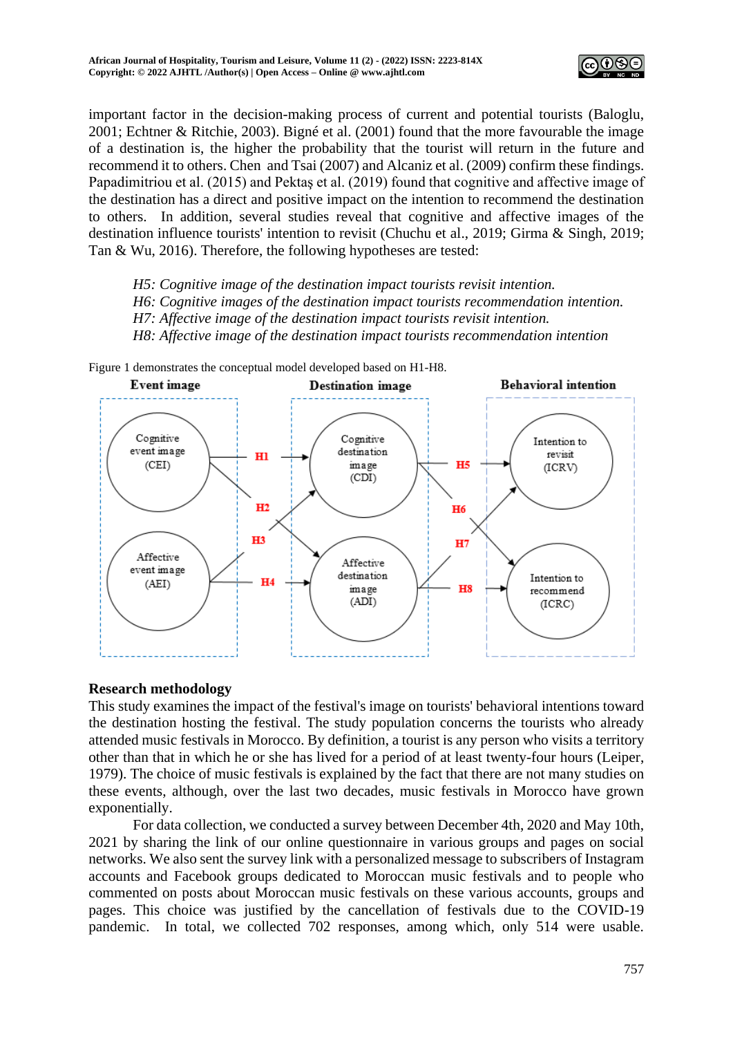

important factor in the decision-making process of current and potential tourists (Baloglu, 2001; Echtner & Ritchie, 2003). Bigné et al. (2001) found that the more favourable the image of a destination is, the higher the probability that the tourist will return in the future and recommend it to others. Chen and Tsai (2007) and Alcaniz et al. (2009) confirm these findings. Papadimitriou et al. (2015) and Pektaş et al. (2019) found that cognitive and affective image of the destination has a direct and positive impact on the intention to recommend the destination to others. In addition, several studies reveal that cognitive and affective images of the destination influence tourists' intention to revisit (Chuchu et al., 2019; Girma & Singh, 2019; Tan & Wu, 2016). Therefore, the following hypotheses are tested:

*H5: Cognitive image of the destination impact tourists revisit intention. H6: Cognitive images of the destination impact tourists recommendation intention. H7: Affective image of the destination impact tourists revisit intention. H8: Affective image of the destination impact tourists recommendation intention* 



# **Research methodology**

This study examines the impact of the festival's image on tourists' behavioral intentions toward the destination hosting the festival. The study population concerns the tourists who already attended music festivals in Morocco. By definition, a tourist is any person who visits a territory other than that in which he or she has lived for a period of at least twenty-four hours (Leiper, 1979). The choice of music festivals is explained by the fact that there are not many studies on these events, although, over the last two decades, music festivals in Morocco have grown exponentially.

For data collection, we conducted a survey between December 4th, 2020 and May 10th, 2021 by sharing the link of our online questionnaire in various groups and pages on social networks. We also sent the survey link with a personalized message to subscribers of Instagram accounts and Facebook groups dedicated to Moroccan music festivals and to people who commented on posts about Moroccan music festivals on these various accounts, groups and pages. This choice was justified by the cancellation of festivals due to the COVID-19 pandemic. In total, we collected 702 responses, among which, only 514 were usable.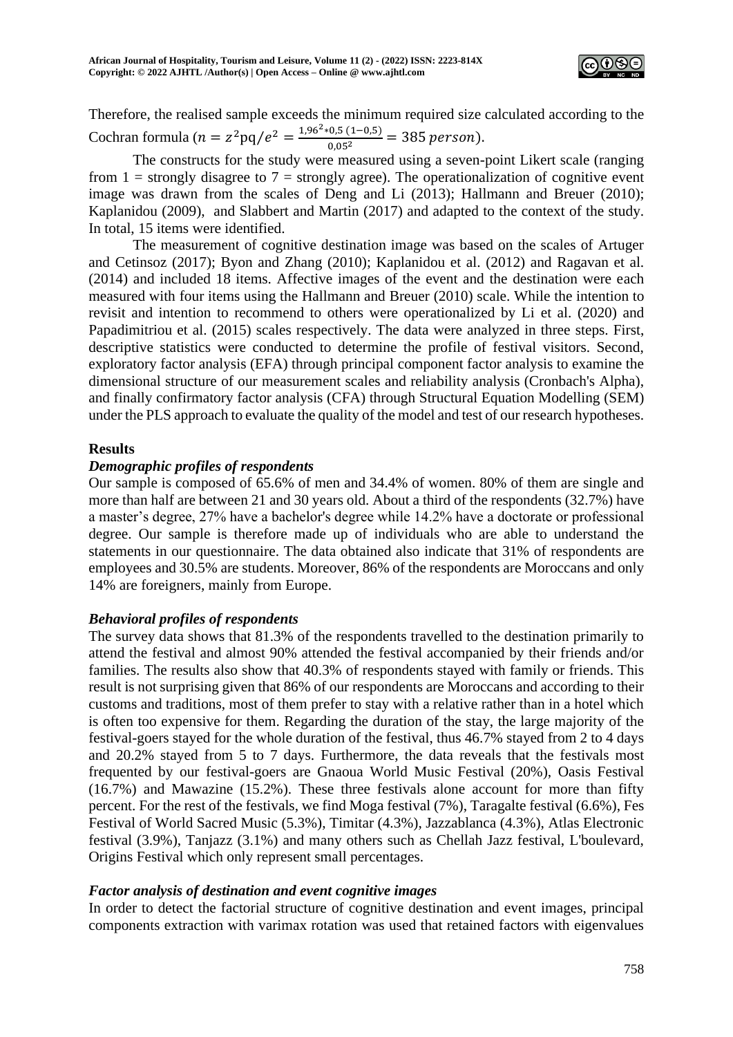

Therefore, the realised sample exceeds the minimum required size calculated according to the Cochran formula ( $n = z^2 pq/e^2 = \frac{1.96^2 * 0.5 (1-0.5)}{0.05^2} = 385 \text{ person}.$ 

The constructs for the study were measured using a seven-point Likert scale (ranging from  $1 =$  strongly disagree to  $7 =$  strongly agree). The operationalization of cognitive event image was drawn from the scales of Deng and Li (2013); Hallmann and Breuer (2010); Kaplanidou (2009), and Slabbert and Martin (2017) and adapted to the context of the study. In total, 15 items were identified.

The measurement of cognitive destination image was based on the scales of Artuger and Cetinsoz (2017); Byon and Zhang (2010); Kaplanidou et al. (2012) and Ragavan et al. (2014) and included 18 items. Affective images of the event and the destination were each measured with four items using the Hallmann and Breuer (2010) scale. While the intention to revisit and intention to recommend to others were operationalized by Li et al. (2020) and Papadimitriou et al. (2015) scales respectively. The data were analyzed in three steps. First, descriptive statistics were conducted to determine the profile of festival visitors. Second, exploratory factor analysis (EFA) through principal component factor analysis to examine the dimensional structure of our measurement scales and reliability analysis (Cronbach's Alpha), and finally confirmatory factor analysis (CFA) through Structural Equation Modelling (SEM) under the PLS approach to evaluate the quality of the model and test of our research hypotheses.

# **Results**

# *Demographic profiles of respondents*

Our sample is composed of 65.6% of men and 34.4% of women. 80% of them are single and more than half are between 21 and 30 years old. About a third of the respondents (32.7%) have a master's degree, 27% have a bachelor's degree while 14.2% have a doctorate or professional degree. Our sample is therefore made up of individuals who are able to understand the statements in our questionnaire. The data obtained also indicate that 31% of respondents are employees and 30.5% are students. Moreover, 86% of the respondents are Moroccans and only 14% are foreigners, mainly from Europe.

# *Behavioral profiles of respondents*

The survey data shows that 81.3% of the respondents travelled to the destination primarily to attend the festival and almost 90% attended the festival accompanied by their friends and/or families. The results also show that 40.3% of respondents stayed with family or friends. This result is not surprising given that 86% of our respondents are Moroccans and according to their customs and traditions, most of them prefer to stay with a relative rather than in a hotel which is often too expensive for them. Regarding the duration of the stay, the large majority of the festival-goers stayed for the whole duration of the festival, thus 46.7% stayed from 2 to 4 days and 20.2% stayed from 5 to 7 days. Furthermore, the data reveals that the festivals most frequented by our festival-goers are Gnaoua World Music Festival (20%), Oasis Festival (16.7%) and Mawazine (15.2%). These three festivals alone account for more than fifty percent. For the rest of the festivals, we find Moga festival (7%), Taragalte festival (6.6%), Fes Festival of World Sacred Music (5.3%), Timitar (4.3%), Jazzablanca (4.3%), Atlas Electronic festival (3.9%), Tanjazz (3.1%) and many others such as Chellah Jazz festival, L'boulevard, Origins Festival which only represent small percentages.

# *Factor analysis of destination and event cognitive images*

In order to detect the factorial structure of cognitive destination and event images, principal components extraction with varimax rotation was used that retained factors with eigenvalues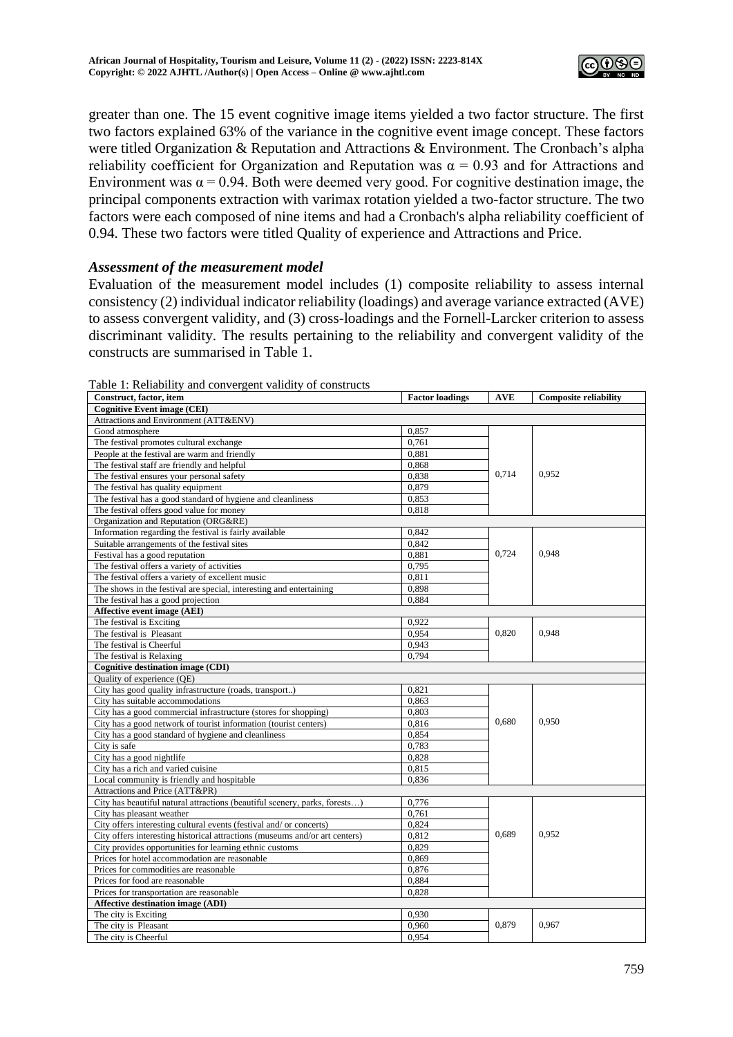

greater than one. The 15 event cognitive image items yielded a two factor structure. The first two factors explained 63% of the variance in the cognitive event image concept. These factors were titled Organization & Reputation and Attractions & Environment. The Cronbach's alpha reliability coefficient for Organization and Reputation was  $\alpha = 0.93$  and for Attractions and Environment was  $\alpha = 0.94$ . Both were deemed very good. For cognitive destination image, the principal components extraction with varimax rotation yielded a two-factor structure. The two factors were each composed of nine items and had a Cronbach's alpha reliability coefficient of 0.94. These two factors were titled Quality of experience and Attractions and Price.

## *Assessment of the measurement model*

Evaluation of the measurement model includes (1) composite reliability to assess internal consistency (2) individual indicator reliability (loadings) and average variance extracted (AVE) to assess convergent validity, and (3) cross-loadings and the Fornell-Larcker criterion to assess discriminant validity. The results pertaining to the reliability and convergent validity of the constructs are summarised in Table 1.

| <b>Cognitive Event image (CEI)</b><br>Attractions and Environment (ATT&ENV)<br>Good atmosphere<br>0,857<br>The festival promotes cultural exchange<br>0.761<br>People at the festival are warm and friendly<br>0.881<br>The festival staff are friendly and helpful<br>0,868<br>0,714<br>0,952<br>The festival ensures your personal safety<br>0,838<br>0,879<br>The festival has quality equipment<br>The festival has a good standard of hygiene and cleanliness<br>0,853<br>0,818<br>The festival offers good value for money<br>Organization and Reputation (ORG&RE)<br>0,842<br>Information regarding the festival is fairly available<br>Suitable arrangements of the festival sites<br>0,842<br>0.724<br>0.948<br>Festival has a good reputation<br>0,881<br>The festival offers a variety of activities<br>0,795<br>The festival offers a variety of excellent music<br>0,811<br>0,898<br>The shows in the festival are special, interesting and entertaining<br>The festival has a good projection<br>0.884<br>Affective event image (AEI)<br>The festival is Exciting<br>0,922<br>0,948<br>The festival is Pleasant<br>0,954<br>0,820<br>The festival is Cheerful<br>0.943 |
|--------------------------------------------------------------------------------------------------------------------------------------------------------------------------------------------------------------------------------------------------------------------------------------------------------------------------------------------------------------------------------------------------------------------------------------------------------------------------------------------------------------------------------------------------------------------------------------------------------------------------------------------------------------------------------------------------------------------------------------------------------------------------------------------------------------------------------------------------------------------------------------------------------------------------------------------------------------------------------------------------------------------------------------------------------------------------------------------------------------------------------------------------------------------------------------|
|                                                                                                                                                                                                                                                                                                                                                                                                                                                                                                                                                                                                                                                                                                                                                                                                                                                                                                                                                                                                                                                                                                                                                                                      |
|                                                                                                                                                                                                                                                                                                                                                                                                                                                                                                                                                                                                                                                                                                                                                                                                                                                                                                                                                                                                                                                                                                                                                                                      |
|                                                                                                                                                                                                                                                                                                                                                                                                                                                                                                                                                                                                                                                                                                                                                                                                                                                                                                                                                                                                                                                                                                                                                                                      |
|                                                                                                                                                                                                                                                                                                                                                                                                                                                                                                                                                                                                                                                                                                                                                                                                                                                                                                                                                                                                                                                                                                                                                                                      |
|                                                                                                                                                                                                                                                                                                                                                                                                                                                                                                                                                                                                                                                                                                                                                                                                                                                                                                                                                                                                                                                                                                                                                                                      |
|                                                                                                                                                                                                                                                                                                                                                                                                                                                                                                                                                                                                                                                                                                                                                                                                                                                                                                                                                                                                                                                                                                                                                                                      |
|                                                                                                                                                                                                                                                                                                                                                                                                                                                                                                                                                                                                                                                                                                                                                                                                                                                                                                                                                                                                                                                                                                                                                                                      |
|                                                                                                                                                                                                                                                                                                                                                                                                                                                                                                                                                                                                                                                                                                                                                                                                                                                                                                                                                                                                                                                                                                                                                                                      |
|                                                                                                                                                                                                                                                                                                                                                                                                                                                                                                                                                                                                                                                                                                                                                                                                                                                                                                                                                                                                                                                                                                                                                                                      |
|                                                                                                                                                                                                                                                                                                                                                                                                                                                                                                                                                                                                                                                                                                                                                                                                                                                                                                                                                                                                                                                                                                                                                                                      |
|                                                                                                                                                                                                                                                                                                                                                                                                                                                                                                                                                                                                                                                                                                                                                                                                                                                                                                                                                                                                                                                                                                                                                                                      |
|                                                                                                                                                                                                                                                                                                                                                                                                                                                                                                                                                                                                                                                                                                                                                                                                                                                                                                                                                                                                                                                                                                                                                                                      |
|                                                                                                                                                                                                                                                                                                                                                                                                                                                                                                                                                                                                                                                                                                                                                                                                                                                                                                                                                                                                                                                                                                                                                                                      |
|                                                                                                                                                                                                                                                                                                                                                                                                                                                                                                                                                                                                                                                                                                                                                                                                                                                                                                                                                                                                                                                                                                                                                                                      |
|                                                                                                                                                                                                                                                                                                                                                                                                                                                                                                                                                                                                                                                                                                                                                                                                                                                                                                                                                                                                                                                                                                                                                                                      |
|                                                                                                                                                                                                                                                                                                                                                                                                                                                                                                                                                                                                                                                                                                                                                                                                                                                                                                                                                                                                                                                                                                                                                                                      |
|                                                                                                                                                                                                                                                                                                                                                                                                                                                                                                                                                                                                                                                                                                                                                                                                                                                                                                                                                                                                                                                                                                                                                                                      |
|                                                                                                                                                                                                                                                                                                                                                                                                                                                                                                                                                                                                                                                                                                                                                                                                                                                                                                                                                                                                                                                                                                                                                                                      |
|                                                                                                                                                                                                                                                                                                                                                                                                                                                                                                                                                                                                                                                                                                                                                                                                                                                                                                                                                                                                                                                                                                                                                                                      |
|                                                                                                                                                                                                                                                                                                                                                                                                                                                                                                                                                                                                                                                                                                                                                                                                                                                                                                                                                                                                                                                                                                                                                                                      |
|                                                                                                                                                                                                                                                                                                                                                                                                                                                                                                                                                                                                                                                                                                                                                                                                                                                                                                                                                                                                                                                                                                                                                                                      |
|                                                                                                                                                                                                                                                                                                                                                                                                                                                                                                                                                                                                                                                                                                                                                                                                                                                                                                                                                                                                                                                                                                                                                                                      |
| The festival is Relaxing<br>0.794                                                                                                                                                                                                                                                                                                                                                                                                                                                                                                                                                                                                                                                                                                                                                                                                                                                                                                                                                                                                                                                                                                                                                    |
| <b>Cognitive destination image (CDI)</b>                                                                                                                                                                                                                                                                                                                                                                                                                                                                                                                                                                                                                                                                                                                                                                                                                                                                                                                                                                                                                                                                                                                                             |
| Quality of experience (QE)                                                                                                                                                                                                                                                                                                                                                                                                                                                                                                                                                                                                                                                                                                                                                                                                                                                                                                                                                                                                                                                                                                                                                           |
| City has good quality infrastructure (roads, transport)<br>0,821                                                                                                                                                                                                                                                                                                                                                                                                                                                                                                                                                                                                                                                                                                                                                                                                                                                                                                                                                                                                                                                                                                                     |
| City has suitable accommodations<br>0,863                                                                                                                                                                                                                                                                                                                                                                                                                                                                                                                                                                                                                                                                                                                                                                                                                                                                                                                                                                                                                                                                                                                                            |
| City has a good commercial infrastructure (stores for shopping)<br>0,803                                                                                                                                                                                                                                                                                                                                                                                                                                                                                                                                                                                                                                                                                                                                                                                                                                                                                                                                                                                                                                                                                                             |
| 0,680<br>0,950<br>0,816<br>City has a good network of tourist information (tourist centers)                                                                                                                                                                                                                                                                                                                                                                                                                                                                                                                                                                                                                                                                                                                                                                                                                                                                                                                                                                                                                                                                                          |
| 0,854<br>City has a good standard of hygiene and cleanliness                                                                                                                                                                                                                                                                                                                                                                                                                                                                                                                                                                                                                                                                                                                                                                                                                                                                                                                                                                                                                                                                                                                         |
| City is safe<br>0,783                                                                                                                                                                                                                                                                                                                                                                                                                                                                                                                                                                                                                                                                                                                                                                                                                                                                                                                                                                                                                                                                                                                                                                |
| City has a good nightlife<br>0.828                                                                                                                                                                                                                                                                                                                                                                                                                                                                                                                                                                                                                                                                                                                                                                                                                                                                                                                                                                                                                                                                                                                                                   |
| 0,815<br>City has a rich and varied cuisine                                                                                                                                                                                                                                                                                                                                                                                                                                                                                                                                                                                                                                                                                                                                                                                                                                                                                                                                                                                                                                                                                                                                          |
| Local community is friendly and hospitable<br>0,836                                                                                                                                                                                                                                                                                                                                                                                                                                                                                                                                                                                                                                                                                                                                                                                                                                                                                                                                                                                                                                                                                                                                  |
| Attractions and Price (ATT&PR)                                                                                                                                                                                                                                                                                                                                                                                                                                                                                                                                                                                                                                                                                                                                                                                                                                                                                                                                                                                                                                                                                                                                                       |
| City has beautiful natural attractions (beautiful scenery, parks, forests)<br>0,776                                                                                                                                                                                                                                                                                                                                                                                                                                                                                                                                                                                                                                                                                                                                                                                                                                                                                                                                                                                                                                                                                                  |
| City has pleasant weather<br>0,761                                                                                                                                                                                                                                                                                                                                                                                                                                                                                                                                                                                                                                                                                                                                                                                                                                                                                                                                                                                                                                                                                                                                                   |
| 0.824<br>City offers interesting cultural events (festival and/ or concerts)                                                                                                                                                                                                                                                                                                                                                                                                                                                                                                                                                                                                                                                                                                                                                                                                                                                                                                                                                                                                                                                                                                         |
| 0,689<br>0,952<br>City offers interesting historical attractions (museums and/or art centers)<br>0,812                                                                                                                                                                                                                                                                                                                                                                                                                                                                                                                                                                                                                                                                                                                                                                                                                                                                                                                                                                                                                                                                               |
| 0.829<br>City provides opportunities for learning ethnic customs                                                                                                                                                                                                                                                                                                                                                                                                                                                                                                                                                                                                                                                                                                                                                                                                                                                                                                                                                                                                                                                                                                                     |
| Prices for hotel accommodation are reasonable<br>0,869                                                                                                                                                                                                                                                                                                                                                                                                                                                                                                                                                                                                                                                                                                                                                                                                                                                                                                                                                                                                                                                                                                                               |
| Prices for commodities are reasonable<br>0,876                                                                                                                                                                                                                                                                                                                                                                                                                                                                                                                                                                                                                                                                                                                                                                                                                                                                                                                                                                                                                                                                                                                                       |
| 0,884<br>Prices for food are reasonable                                                                                                                                                                                                                                                                                                                                                                                                                                                                                                                                                                                                                                                                                                                                                                                                                                                                                                                                                                                                                                                                                                                                              |
|                                                                                                                                                                                                                                                                                                                                                                                                                                                                                                                                                                                                                                                                                                                                                                                                                                                                                                                                                                                                                                                                                                                                                                                      |
|                                                                                                                                                                                                                                                                                                                                                                                                                                                                                                                                                                                                                                                                                                                                                                                                                                                                                                                                                                                                                                                                                                                                                                                      |
| Prices for transportation are reasonable<br>0,828                                                                                                                                                                                                                                                                                                                                                                                                                                                                                                                                                                                                                                                                                                                                                                                                                                                                                                                                                                                                                                                                                                                                    |
| <b>Affective destination image (ADI)</b>                                                                                                                                                                                                                                                                                                                                                                                                                                                                                                                                                                                                                                                                                                                                                                                                                                                                                                                                                                                                                                                                                                                                             |
| 0,930<br>The city is Exciting<br>0.879<br>0,967<br>The city is Pleasant<br>0,960                                                                                                                                                                                                                                                                                                                                                                                                                                                                                                                                                                                                                                                                                                                                                                                                                                                                                                                                                                                                                                                                                                     |

Table 1: Reliability and convergent validity of constructs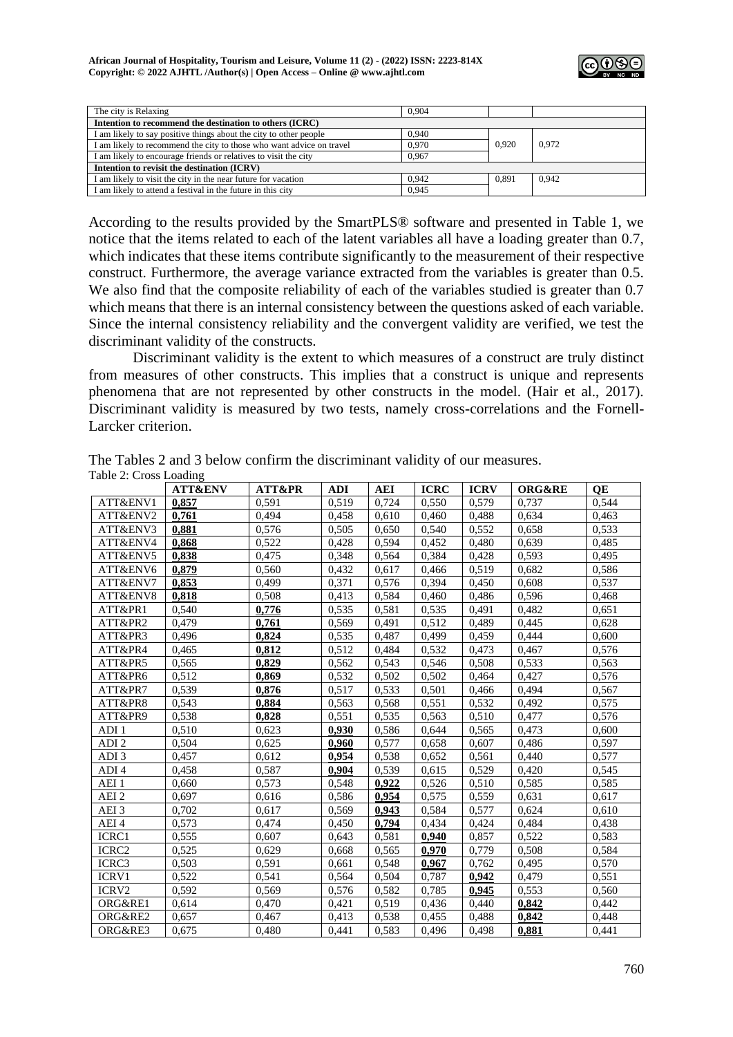

| The city is Relaxing                                                 | 0.904 |       |       |  |  |  |  |  |
|----------------------------------------------------------------------|-------|-------|-------|--|--|--|--|--|
| Intention to recommend the destination to others (ICRC)              |       |       |       |  |  |  |  |  |
| I am likely to say positive things about the city to other people    | 0.940 |       |       |  |  |  |  |  |
| I am likely to recommend the city to those who want advice on travel | 0.970 |       |       |  |  |  |  |  |
| I am likely to encourage friends or relatives to visit the city      | 0.967 |       |       |  |  |  |  |  |
| Intention to revisit the destination (ICRV)                          |       |       |       |  |  |  |  |  |
| I am likely to visit the city in the near future for vacation        | 0.942 | 0,891 | 0.942 |  |  |  |  |  |
| I am likely to attend a festival in the future in this city          | 0.945 |       |       |  |  |  |  |  |

According to the results provided by the SmartPLS® software and presented in Table 1, we notice that the items related to each of the latent variables all have a loading greater than 0.7, which indicates that these items contribute significantly to the measurement of their respective construct. Furthermore, the average variance extracted from the variables is greater than 0.5. We also find that the composite reliability of each of the variables studied is greater than 0.7 which means that there is an internal consistency between the questions asked of each variable. Since the internal consistency reliability and the convergent validity are verified, we test the discriminant validity of the constructs.

Discriminant validity is the extent to which measures of a construct are truly distinct from measures of other constructs. This implies that a construct is unique and represents phenomena that are not represented by other constructs in the model. (Hair et al., 2017). Discriminant validity is measured by two tests, namely cross-correlations and the Fornell-Larcker criterion.

|                   | <b>ATT&amp;ENV</b> | <b>ATT&amp;PR</b> | <b>ADI</b> | AEI   | <b>ICRC</b> | <b>ICRV</b> | <b>ORG&amp;RE</b> | OE    |
|-------------------|--------------------|-------------------|------------|-------|-------------|-------------|-------------------|-------|
| ATT&ENV1          | 0,857              | 0.591             | 0,519      | 0,724 | 0,550       | 0,579       | 0.737             | 0.544 |
| ATT&ENV2          | 0,761              | 0.494             | 0,458      | 0,610 | 0,460       | 0,488       | 0.634             | 0,463 |
| ATT&ENV3          | 0.881              | 0.576             | 0,505      | 0,650 | 0,540       | 0,552       | 0,658             | 0.533 |
| ATT&ENV4          | 0,868              | 0,522             | 0,428      | 0,594 | 0,452       | 0,480       | 0,639             | 0,485 |
| ATT&ENV5          | 0,838              | 0,475             | 0,348      | 0,564 | 0,384       | 0,428       | 0.593             | 0,495 |
| ATT&ENV6          | 0,879              | 0,560             | 0,432      | 0,617 | 0,466       | 0,519       | 0,682             | 0,586 |
| ATT&ENV7          | 0,853              | 0,499             | 0,371      | 0,576 | 0.394       | 0,450       | 0,608             | 0,537 |
| ATT&ENV8          | 0,818              | 0,508             | 0,413      | 0,584 | 0,460       | 0,486       | 0,596             | 0,468 |
| ATT&PR1           | 0,540              | 0,776             | 0,535      | 0,581 | 0,535       | 0,491       | 0,482             | 0.651 |
| ATT&PR2           | 0,479              | 0,761             | 0,569      | 0,491 | 0,512       | 0,489       | 0,445             | 0,628 |
| ATT&PR3           | 0,496              | 0,824             | 0,535      | 0,487 | 0,499       | 0,459       | 0,444             | 0,600 |
| ATT&PR4           | 0,465              | 0,812             | 0,512      | 0,484 | 0,532       | 0,473       | 0,467             | 0,576 |
| ATT&PR5           | 0,565              | 0,829             | 0,562      | 0,543 | 0,546       | 0,508       | 0,533             | 0,563 |
| ATT&PR6           | 0,512              | 0,869             | 0,532      | 0,502 | 0,502       | 0,464       | 0,427             | 0,576 |
| ATT&PR7           | 0.539              | 0,876             | 0,517      | 0,533 | 0,501       | 0,466       | 0.494             | 0,567 |
| ATT&PR8           | 0.543              | 0,884             | 0,563      | 0,568 | 0,551       | 0,532       | 0,492             | 0,575 |
| ATT&PR9           | 0.538              | 0,828             | 0,551      | 0,535 | 0,563       | 0,510       | 0.477             | 0.576 |
| ADI 1             | 0,510              | 0,623             | 0,930      | 0,586 | 0,644       | 0,565       | 0,473             | 0,600 |
| ADI <sub>2</sub>  | 0,504              | 0,625             | 0,960      | 0,577 | 0,658       | 0,607       | 0,486             | 0,597 |
| ADI <sub>3</sub>  | 0,457              | 0,612             | 0,954      | 0,538 | 0,652       | 0,561       | 0,440             | 0,577 |
| ADI 4             | 0,458              | 0,587             | 0,904      | 0,539 | 0,615       | 0,529       | 0,420             | 0,545 |
| AEI 1             | 0,660              | 0,573             | 0,548      | 0,922 | 0,526       | 0,510       | 0.585             | 0,585 |
| AEI <sub>2</sub>  | 0,697              | 0,616             | 0,586      | 0,954 | 0,575       | 0,559       | 0.631             | 0,617 |
| AEI <sub>3</sub>  | 0,702              | 0,617             | 0,569      | 0,943 | 0,584       | 0,577       | 0.624             | 0,610 |
| AEI <sub>4</sub>  | 0,573              | 0,474             | 0,450      | 0,794 | 0,434       | 0,424       | 0,484             | 0,438 |
| ICRC1             | 0,555              | 0,607             | 0,643      | 0,581 | 0,940       | 0,857       | 0,522             | 0,583 |
| ICRC <sub>2</sub> | 0,525              | 0,629             | 0,668      | 0,565 | 0,970       | 0,779       | 0,508             | 0,584 |
| ICRC3             | 0.503              | 0,591             | 0,661      | 0,548 | 0,967       | 0,762       | 0,495             | 0,570 |
| <b>ICRV1</b>      | 0,522              | 0,541             | 0,564      | 0,504 | 0,787       | 0,942       | 0,479             | 0,551 |
| ICRV <sub>2</sub> | 0,592              | 0,569             | 0,576      | 0,582 | 0,785       | 0,945       | 0,553             | 0,560 |
| ORG&RE1           | 0,614              | 0,470             | 0,421      | 0,519 | 0,436       | 0,440       | 0,842             | 0,442 |
| ORG&RE2           | 0,657              | 0,467             | 0,413      | 0,538 | 0,455       | 0,488       | 0,842             | 0,448 |
| ORG&RE3           | 0,675              | 0,480             | 0,441      | 0,583 | 0,496       | 0,498       | 0,881             | 0,441 |

The Tables 2 and 3 below confirm the discriminant validity of our measures. Table 2: Cross Loading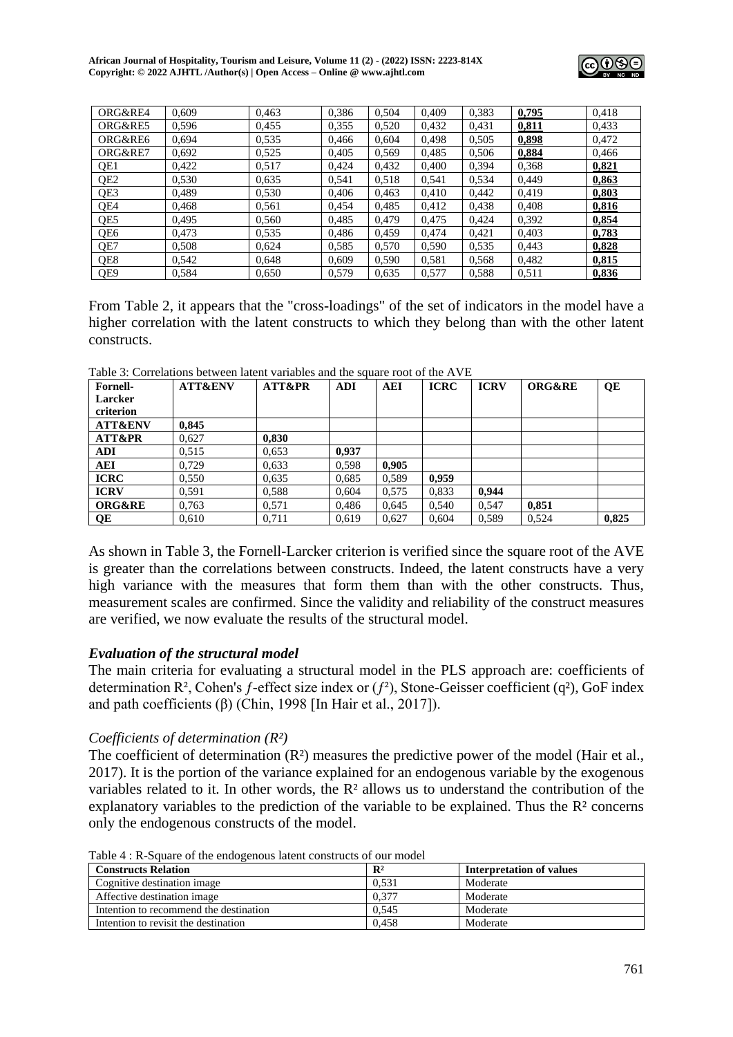

| ORG&RE4         | 0,609 | 0.463 | 0,386 | 0,504 | 0.409 | 0,383 | 0,795 | 0.418 |
|-----------------|-------|-------|-------|-------|-------|-------|-------|-------|
| ORG&RE5         | 0,596 | 0.455 | 0,355 | 0,520 | 0.432 | 0,431 | 0,811 | 0,433 |
| ORG&RE6         | 0,694 | 0.535 | 0,466 | 0,604 | 0.498 | 0,505 | 0,898 | 0,472 |
| ORG&RE7         | 0,692 | 0.525 | 0,405 | 0,569 | 0,485 | 0,506 | 0,884 | 0,466 |
| QE1             | 0.422 | 0,517 | 0.424 | 0.432 | 0.400 | 0,394 | 0,368 | 0,821 |
| QE <sub>2</sub> | 0,530 | 0.635 | 0,541 | 0,518 | 0,541 | 0.534 | 0,449 | 0,863 |
| QE3             | 0,489 | 0,530 | 0,406 | 0,463 | 0,410 | 0,442 | 0,419 | 0,803 |
| QE4             | 0,468 | 0,561 | 0,454 | 0,485 | 0.412 | 0,438 | 0,408 | 0,816 |
| QE5             | 0.495 | 0,560 | 0,485 | 0,479 | 0.475 | 0.424 | 0,392 | 0,854 |
| QE6             | 0.473 | 0,535 | 0.486 | 0,459 | 0.474 | 0,421 | 0,403 | 0,783 |
| OE7             | 0,508 | 0,624 | 0,585 | 0,570 | 0.590 | 0.535 | 0,443 | 0,828 |
| OE8             | 0,542 | 0.648 | 0.609 | 0,590 | 0,581 | 0.568 | 0,482 | 0,815 |
| QE9             | 0,584 | 0,650 | 0.579 | 0,635 | 0,577 | 0,588 | 0.511 | 0,836 |

From Table 2, it appears that the "cross-loadings" of the set of indicators in the model have a higher correlation with the latent constructs to which they belong than with the other latent constructs.

| <b>Fornell-</b>    | <b>ATT&amp;ENV</b> | <b>ATT&amp;PR</b> | <b>ADI</b> | <b>AEI</b> | <b>ICRC</b> | <b>ICRV</b> | <b>ORG&amp;RE</b> | QE    |
|--------------------|--------------------|-------------------|------------|------------|-------------|-------------|-------------------|-------|
| <b>Larcker</b>     |                    |                   |            |            |             |             |                   |       |
| criterion          |                    |                   |            |            |             |             |                   |       |
| <b>ATT&amp;ENV</b> | 0,845              |                   |            |            |             |             |                   |       |
| <b>ATT&amp;PR</b>  | 0,627              | 0,830             |            |            |             |             |                   |       |
| <b>ADI</b>         | 0.515              | 0,653             | 0.937      |            |             |             |                   |       |
| AEI                | 0.729              | 0,633             | 0,598      | 0.905      |             |             |                   |       |
| <b>ICRC</b>        | 0,550              | 0,635             | 0,685      | 0.589      | 0,959       |             |                   |       |
| <b>ICRV</b>        | 0,591              | 0,588             | 0.604      | 0,575      | 0,833       | 0.944       |                   |       |
| <b>ORG&amp;RE</b>  | 0,763              | 0,571             | 0.486      | 0.645      | 0.540       | 0.547       | 0.851             |       |
| QE                 | 0.610              | 0.711             | 0.619      | 0.627      | 0.604       | 0.589       | 0.524             | 0.825 |

Table 3: Correlations between latent variables and the square root of the  $\Delta V$ E

As shown in Table 3, the Fornell-Larcker criterion is verified since the square root of the AVE is greater than the correlations between constructs. Indeed, the latent constructs have a very high variance with the measures that form them than with the other constructs. Thus, measurement scales are confirmed. Since the validity and reliability of the construct measures are verified, we now evaluate the results of the structural model.

# *Evaluation of the structural model*

The main criteria for evaluating a structural model in the PLS approach are: coefficients of determination  $\mathbb{R}^2$ , Cohen's f-effect size index or  $(f^2)$ , Stone-Geisser coefficient  $(q^2)$ , GoF index and path coefficients  $(\beta)$  (Chin, 1998 [In Hair et al., 2017]).

# *Coefficients of determination (R²)*

The coefficient of determination  $(R^2)$  measures the predictive power of the model (Hair et al., 2017). It is the portion of the variance explained for an endogenous variable by the exogenous variables related to it. In other words, the R² allows us to understand the contribution of the explanatory variables to the prediction of the variable to be explained. Thus the  $\mathbb{R}^2$  concerns only the endogenous constructs of the model.

Table 4 : R-Square of the endogenous latent constructs of our model

| <b>Constructs Relation</b>             | $\mathbf{R}^2$ | Interpretation of values |
|----------------------------------------|----------------|--------------------------|
| Cognitive destination image            | 0.531          | Moderate                 |
| Affective destination image            | 0.377          | Moderate                 |
| Intention to recommend the destination | 0.545          | Moderate                 |
| Intention to revisit the destination   | 0.458          | Moderate                 |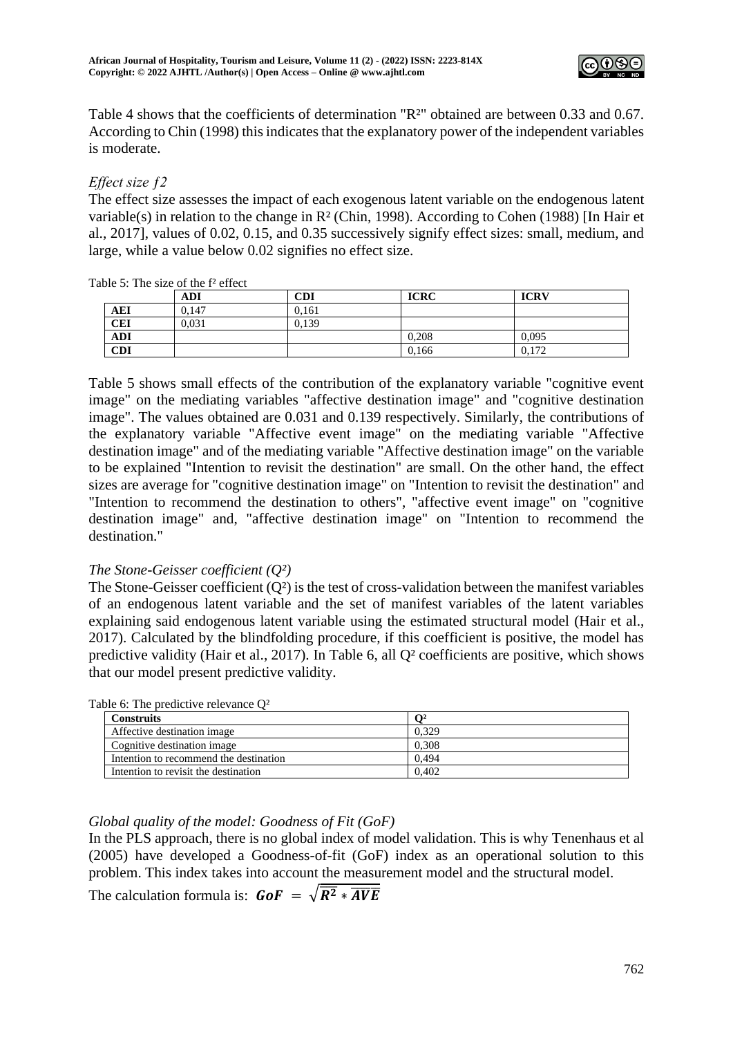

Table 4 shows that the coefficients of determination "R<sup>2</sup>" obtained are between 0.33 and 0.67. According to Chin (1998) this indicates that the explanatory power of the independent variables is moderate.

# *Effect size ƒ2*

The effect size assesses the impact of each exogenous latent variable on the endogenous latent variable(s) in relation to the change in R² (Chin, 1998). According to Cohen (1988) [In Hair et al., 2017], values of 0.02, 0.15, and 0.35 successively signify effect sizes: small, medium, and large, while a value below 0.02 signifies no effect size.

|            | <b>ADI</b> | <b>CDI</b> | <b>ICRC</b> | <b>ICRV</b> |
|------------|------------|------------|-------------|-------------|
| AEI        | 0.147      | 0.161      |             |             |
| <b>CEI</b> | 0.031      | 0.139      |             |             |
| <b>ADI</b> |            |            | 0,208       | 0,095       |
| <b>CDI</b> |            |            | 0,166       | 0,172       |

Table 5: The size of the  $f<sup>2</sup>$  effect

Table 5 shows small effects of the contribution of the explanatory variable "cognitive event image" on the mediating variables "affective destination image" and "cognitive destination image". The values obtained are 0.031 and 0.139 respectively. Similarly, the contributions of the explanatory variable "Affective event image" on the mediating variable "Affective destination image" and of the mediating variable "Affective destination image" on the variable to be explained "Intention to revisit the destination" are small. On the other hand, the effect sizes are average for "cognitive destination image" on "Intention to revisit the destination" and "Intention to recommend the destination to others", "affective event image" on "cognitive destination image" and, "affective destination image" on "Intention to recommend the destination."

# *The Stone-Geisser coefficient (Q²)*

The Stone-Geisser coefficient (O<sup>2</sup>) is the test of cross-validation between the manifest variables of an endogenous latent variable and the set of manifest variables of the latent variables explaining said endogenous latent variable using the estimated structural model (Hair et al., 2017). Calculated by the blindfolding procedure, if this coefficient is positive, the model has predictive validity (Hair et al., 2017). In Table 6, all Q² coefficients are positive, which shows that our model present predictive validity.

| Construits                             | ี ∩2  |  |
|----------------------------------------|-------|--|
| Affective destination image            | 0.329 |  |
| Cognitive destination image            | 0.308 |  |
| Intention to recommend the destination | 0.494 |  |
| Intention to revisit the destination   | 0.402 |  |

## Table 6: The predictive relevance Q²

# *Global quality of the model: Goodness of Fit (GoF)*

In the PLS approach, there is no global index of model validation. This is why Tenenhaus et al (2005) have developed a Goodness-of-fit (GoF) index as an operational solution to this problem. This index takes into account the measurement model and the structural model.

The calculation formula is:  $G \circ F = \sqrt{R^2 * \overline{A V E}}$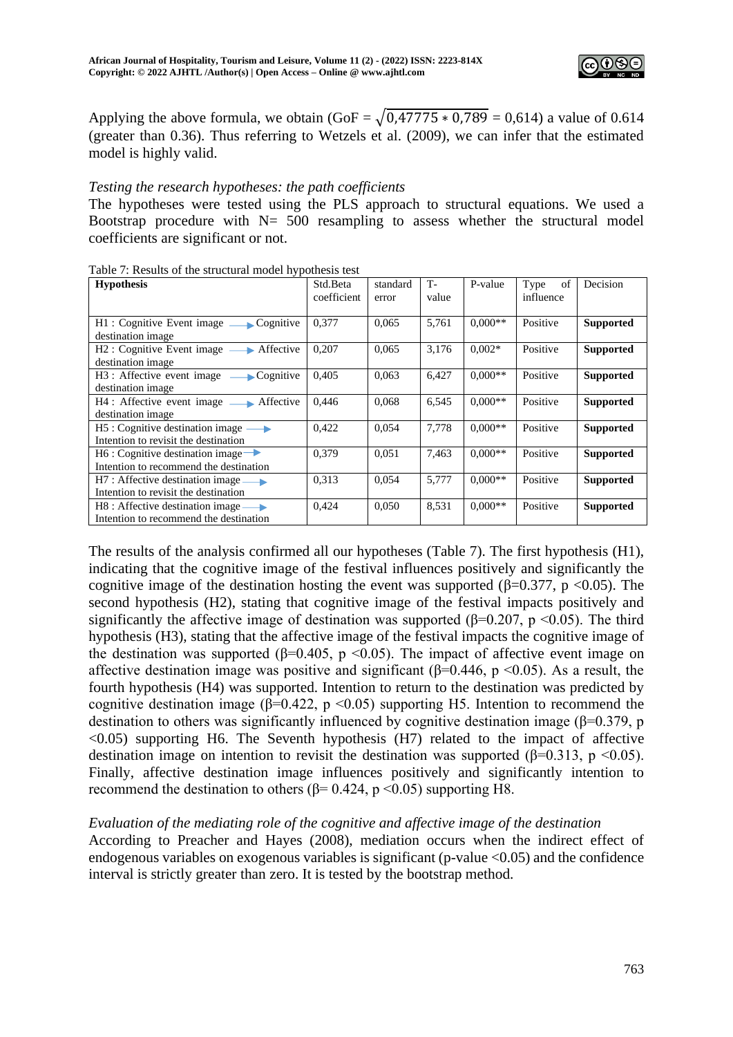

Applying the above formula, we obtain  $(GoF = \sqrt{0.47775 * 0.789} = 0.614)$  a value of 0.614 (greater than 0.36). Thus referring to Wetzels et al. (2009), we can infer that the estimated model is highly valid.

#### *Testing the research hypotheses: the path coefficients*

The hypotheses were tested using the PLS approach to structural equations. We used a Bootstrap procedure with  $N = 500$  resampling to assess whether the structural model coefficients are significant or not.

| <b>Hypothesis</b>                                                                             | Std.Beta<br>coefficient | standard<br>error | <b>T-</b><br>value | P-value   | of<br>Type<br>influence | Decision         |
|-----------------------------------------------------------------------------------------------|-------------------------|-------------------|--------------------|-----------|-------------------------|------------------|
| H1: Cognitive Event image — Cognitive<br>destination image                                    | 0,377                   | 0,065             | 5,761              | $0.000**$ | Positive                | <b>Supported</b> |
| $H2:$ Cognitive Event image $\longrightarrow$ Affective<br>destination image                  | 0,207                   | 0,065             | 3,176              | $0.002*$  | Positive                | <b>Supported</b> |
| H3 : Affective event image — Cognitive<br>destination image                                   | 0.405                   | 0,063             | 6,427              | $0.000**$ | Positive                | <b>Supported</b> |
| H4 : Affective event image Affective<br>destination image                                     | 0.446                   | 0,068             | 6,545              | $0.000**$ | Positive                | <b>Supported</b> |
| $H5:$ Cognitive destination image $\longrightarrow$<br>Intention to revisit the destination   | 0,422                   | 0,054             | 7,778              | $0.000**$ | Positive                | <b>Supported</b> |
| $H6:$ Cognitive destination image $\rightarrow$<br>Intention to recommend the destination     | 0,379                   | 0.051             | 7,463              | $0.000**$ | Positive                | <b>Supported</b> |
| $H7:$ Affective destination image $\longrightarrow$<br>Intention to revisit the destination   | 0.313                   | 0,054             | 5,777              | $0.000**$ | Positive                | <b>Supported</b> |
| $H8:$ Affective destination image $\longrightarrow$<br>Intention to recommend the destination | 0,424                   | 0,050             | 8,531              | $0.000**$ | Positive                | <b>Supported</b> |

Table 7: Results of the structural model hypothesis test

The results of the analysis confirmed all our hypotheses (Table 7). The first hypothesis (H1), indicating that the cognitive image of the festival influences positively and significantly the cognitive image of the destination hosting the event was supported ( $\beta$ =0.377, p <0.05). The second hypothesis (H2), stating that cognitive image of the festival impacts positively and significantly the affective image of destination was supported ( $\beta$ =0.207, p <0.05). The third hypothesis (H3), stating that the affective image of the festival impacts the cognitive image of the destination was supported ( $\beta$ =0.405, p <0.05). The impact of affective event image on affective destination image was positive and significant ( $\beta$ =0.446, p <0.05). As a result, the fourth hypothesis (H4) was supported. Intention to return to the destination was predicted by cognitive destination image ( $\beta$ =0.422, p <0.05) supporting H5. Intention to recommend the destination to others was significantly influenced by cognitive destination image (β=0.379, p  $\leq$ 0.05) supporting H6. The Seventh hypothesis (H7) related to the impact of affective destination image on intention to revisit the destination was supported ( $\beta$ =0.313, p <0.05). Finally, affective destination image influences positively and significantly intention to recommend the destination to others ( $β = 0.424$ ,  $p < 0.05$ ) supporting H8.

## *Evaluation of the mediating role of the cognitive and affective image of the destination*

According to Preacher and Hayes (2008), mediation occurs when the indirect effect of endogenous variables on exogenous variables is significant ( $p$ -value  $\langle 0.05 \rangle$ ) and the confidence interval is strictly greater than zero. It is tested by the bootstrap method.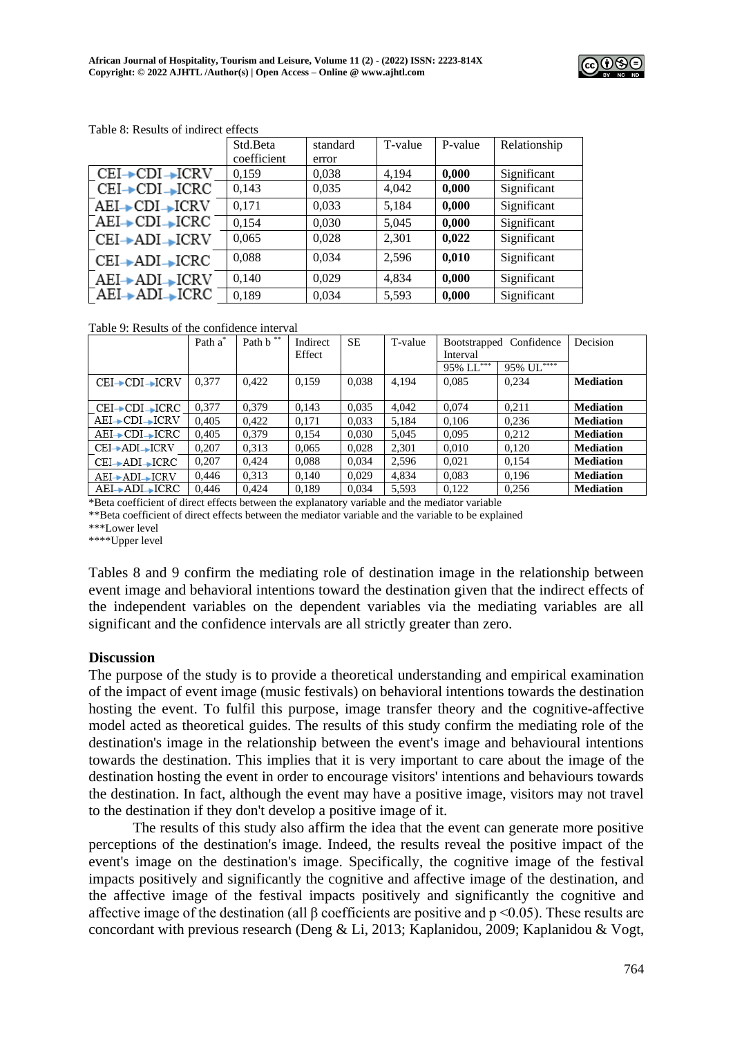

|                    | Std.Beta    | standard | T-value | P-value | Relationship |
|--------------------|-------------|----------|---------|---------|--------------|
|                    | coefficient | error    |         |         |              |
| CEI→CDI→ICRV       | 0.159       | 0,038    | 4.194   | 0,000   | Significant  |
| $CEI + CDI + ICRC$ | 0,143       | 0,035    | 4,042   | 0,000   | Significant  |
| AEI→CDI→ICRV       | 0.171       | 0,033    | 5,184   | 0,000   | Significant  |
| $AEI + CDI + ICRC$ | 0,154       | 0.030    | 5,045   | 0,000   | Significant  |
| CEI→ADI→ICRV       | 0,065       | 0.028    | 2,301   | 0,022   | Significant  |
| $CEI + ADI + ICRC$ | 0.088       | 0.034    | 2,596   | 0,010   | Significant  |
| AEI→ADI→ICRV       | 0.140       | 0.029    | 4.834   | 0.000   | Significant  |
| AEI→ADI→ICRC       | 0,189       | 0,034    | 5,593   | 0,000   | Significant  |

Table 8: Results of indirect effects

Table 9: Results of the confidence interval

|                    | Path a* | Path b <sup>**</sup> | Indirect | <b>SE</b> | T-value |           | Bootstrapped Confidence | Decision         |
|--------------------|---------|----------------------|----------|-----------|---------|-----------|-------------------------|------------------|
|                    |         |                      | Effect   |           |         | Interval  |                         |                  |
|                    |         |                      |          |           |         | 95% LL*** | $95\%~\mathrm{UL}***$   |                  |
| CEI→CDI→ICRV       | 0.377   | 0.422                | 0.159    | 0.038     | 4,194   | 0.085     | 0.234                   | <b>Mediation</b> |
|                    |         |                      |          |           |         |           |                         |                  |
| $CEI + CDI$ $-CDI$ | 0.377   | 0.379                | 0.143    | 0,035     | 4,042   | 0.074     | 0,211                   | <b>Mediation</b> |
| AEI→CDI→ICRV       | 0.405   | 0.422                | 0,171    | 0,033     | 5,184   | 0,106     | 0.236                   | <b>Mediation</b> |
| AEI→CDI→ICRC       | 0.405   | 0,379                | 0,154    | 0,030     | 5,045   | 0,095     | 0,212                   | <b>Mediation</b> |
| CEI→ADI→ICRV       | 0.207   | 0,313                | 0,065    | 0,028     | 2,301   | 0,010     | 0,120                   | <b>Mediation</b> |
| $CEI + ADI - ICRC$ | 0.207   | 0.424                | 0.088    | 0.034     | 2,596   | 0.021     | 0.154                   | <b>Mediation</b> |
| AEI→ADI→ICRV       | 0,446   | 0.313                | 0.140    | 0.029     | 4,834   | 0,083     | 0.196                   | <b>Mediation</b> |
| AEI→ADI→ICRC       | 0.446   | 0.424                | 0.189    | 0.034     | 5,593   | 0.122     | 0.256                   | <b>Mediation</b> |

\*Beta coefficient of direct effects between the explanatory variable and the mediator variable

\*\*Beta coefficient of direct effects between the mediator variable and the variable to be explained

\*\*\*Lower level

\*\*\*\*Upper level

Tables 8 and 9 confirm the mediating role of destination image in the relationship between event image and behavioral intentions toward the destination given that the indirect effects of the independent variables on the dependent variables via the mediating variables are all significant and the confidence intervals are all strictly greater than zero.

## **Discussion**

The purpose of the study is to provide a theoretical understanding and empirical examination of the impact of event image (music festivals) on behavioral intentions towards the destination hosting the event. To fulfil this purpose, image transfer theory and the cognitive-affective model acted as theoretical guides. The results of this study confirm the mediating role of the destination's image in the relationship between the event's image and behavioural intentions towards the destination. This implies that it is very important to care about the image of the destination hosting the event in order to encourage visitors' intentions and behaviours towards the destination. In fact, although the event may have a positive image, visitors may not travel to the destination if they don't develop a positive image of it.

The results of this study also affirm the idea that the event can generate more positive perceptions of the destination's image. Indeed, the results reveal the positive impact of the event's image on the destination's image. Specifically, the cognitive image of the festival impacts positively and significantly the cognitive and affective image of the destination, and the affective image of the festival impacts positively and significantly the cognitive and affective image of the destination (all  $\beta$  coefficients are positive and p <0.05). These results are concordant with previous research (Deng & Li, 2013; Kaplanidou, 2009; Kaplanidou & Vogt,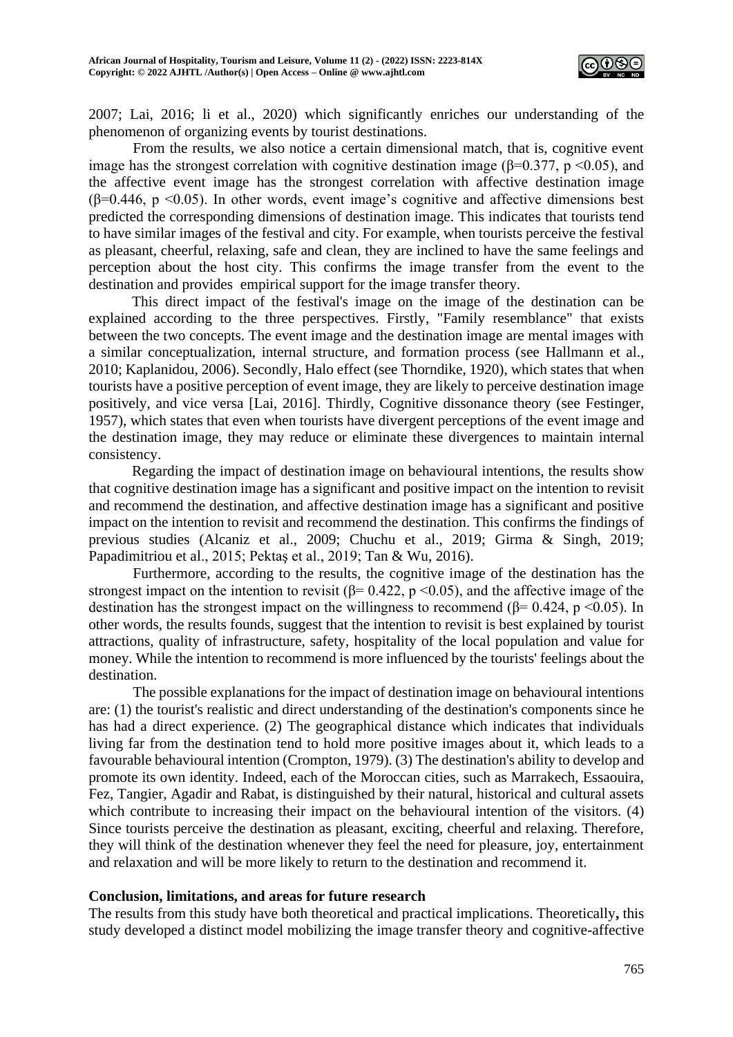

2007; Lai, 2016; li et al., 2020) which significantly enriches our understanding of the phenomenon of organizing events by tourist destinations.

From the results, we also notice a certain dimensional match, that is, cognitive event image has the strongest correlation with cognitive destination image ( $\beta$ =0.377, p <0.05), and the affective event image has the strongest correlation with affective destination image ( $\beta$ =0.446, p <0.05). In other words, event image's cognitive and affective dimensions best predicted the corresponding dimensions of destination image. This indicates that tourists tend to have similar images of the festival and city. For example, when tourists perceive the festival as pleasant, cheerful, relaxing, safe and clean, they are inclined to have the same feelings and perception about the host city. This confirms the image transfer from the event to the destination and provides empirical support for the image transfer theory.

This direct impact of the festival's image on the image of the destination can be explained according to the three perspectives. Firstly, "Family resemblance" that exists between the two concepts. The event image and the destination image are mental images with a similar conceptualization, internal structure, and formation process (see Hallmann et al., 2010; Kaplanidou, 2006). Secondly, Halo effect (see Thorndike, 1920), which states that when tourists have a positive perception of event image, they are likely to perceive destination image positively, and vice versa [Lai, 2016]. Thirdly, Cognitive dissonance theory (see Festinger, 1957), which states that even when tourists have divergent perceptions of the event image and the destination image, they may reduce or eliminate these divergences to maintain internal consistency.

Regarding the impact of destination image on behavioural intentions, the results show that cognitive destination image has a significant and positive impact on the intention to revisit and recommend the destination, and affective destination image has a significant and positive impact on the intention to revisit and recommend the destination. This confirms the findings of previous studies (Alcaniz et al., 2009; Chuchu et al., 2019; Girma & Singh, 2019; Papadimitriou et al., 2015; Pektaş et al., 2019; Tan & Wu, 2016).

Furthermore, according to the results, the cognitive image of the destination has the strongest impact on the intention to revisit ( $\beta$ = 0.422, p <0.05), and the affective image of the destination has the strongest impact on the willingness to recommend ( $\beta$ = 0.424, p <0.05). In other words, the results founds, suggest that the intention to revisit is best explained by tourist attractions, quality of infrastructure, safety, hospitality of the local population and value for money. While the intention to recommend is more influenced by the tourists' feelings about the destination.

The possible explanations for the impact of destination image on behavioural intentions are: (1) the tourist's realistic and direct understanding of the destination's components since he has had a direct experience. (2) The geographical distance which indicates that individuals living far from the destination tend to hold more positive images about it, which leads to a favourable behavioural intention (Crompton, 1979). (3) The destination's ability to develop and promote its own identity. Indeed, each of the Moroccan cities, such as Marrakech, Essaouira, Fez, Tangier, Agadir and Rabat, is distinguished by their natural, historical and cultural assets which contribute to increasing their impact on the behavioural intention of the visitors. (4) Since tourists perceive the destination as pleasant, exciting, cheerful and relaxing. Therefore, they will think of the destination whenever they feel the need for pleasure, joy, entertainment and relaxation and will be more likely to return to the destination and recommend it.

## **Conclusion, limitations, and areas for future research**

The results from this study have both theoretical and practical implications. Theoretically**,** this study developed a distinct model mobilizing the image transfer theory and cognitive-affective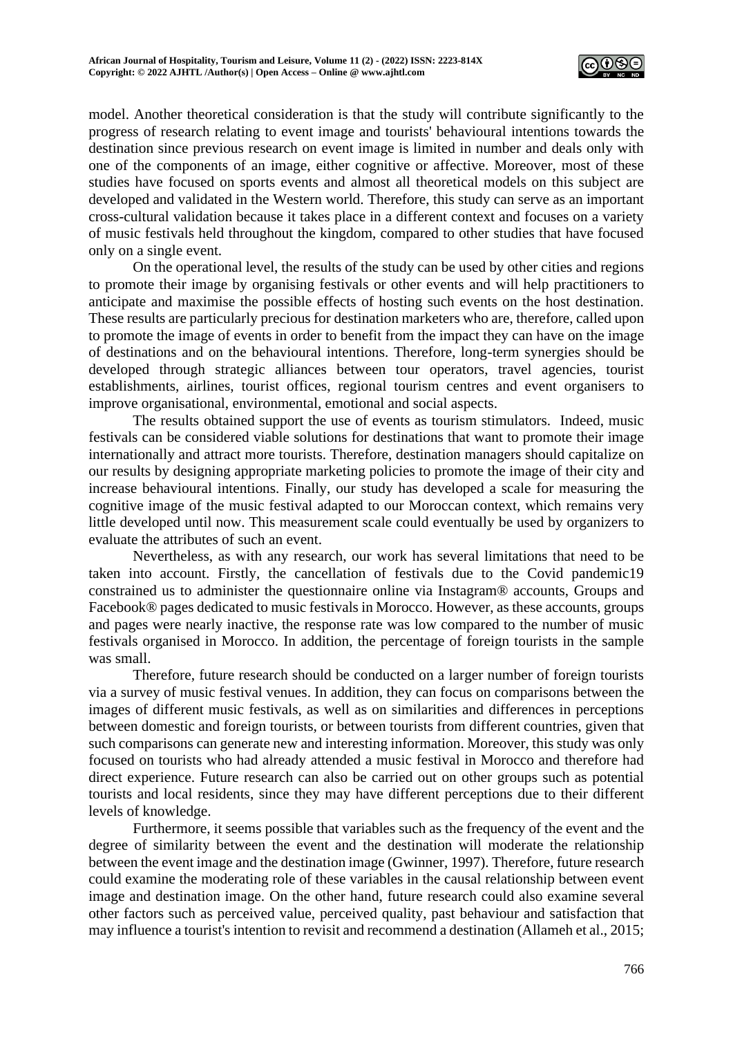

model. Another theoretical consideration is that the study will contribute significantly to the progress of research relating to event image and tourists' behavioural intentions towards the destination since previous research on event image is limited in number and deals only with one of the components of an image, either cognitive or affective. Moreover, most of these studies have focused on sports events and almost all theoretical models on this subject are developed and validated in the Western world. Therefore, this study can serve as an important cross-cultural validation because it takes place in a different context and focuses on a variety of music festivals held throughout the kingdom, compared to other studies that have focused only on a single event.

On the operational level, the results of the study can be used by other cities and regions to promote their image by organising festivals or other events and will help practitioners to anticipate and maximise the possible effects of hosting such events on the host destination. These results are particularly precious for destination marketers who are, therefore, called upon to promote the image of events in order to benefit from the impact they can have on the image of destinations and on the behavioural intentions. Therefore, long-term synergies should be developed through strategic alliances between tour operators, travel agencies, tourist establishments, airlines, tourist offices, regional tourism centres and event organisers to improve organisational, environmental, emotional and social aspects.

The results obtained support the use of events as tourism stimulators. Indeed, music festivals can be considered viable solutions for destinations that want to promote their image internationally and attract more tourists. Therefore, destination managers should capitalize on our results by designing appropriate marketing policies to promote the image of their city and increase behavioural intentions. Finally, our study has developed a scale for measuring the cognitive image of the music festival adapted to our Moroccan context, which remains very little developed until now. This measurement scale could eventually be used by organizers to evaluate the attributes of such an event.

Nevertheless, as with any research, our work has several limitations that need to be taken into account. Firstly, the cancellation of festivals due to the Covid pandemic19 constrained us to administer the questionnaire online via Instagram® accounts, Groups and Facebook® pages dedicated to music festivals in Morocco. However, as these accounts, groups and pages were nearly inactive, the response rate was low compared to the number of music festivals organised in Morocco. In addition, the percentage of foreign tourists in the sample was small.

Therefore, future research should be conducted on a larger number of foreign tourists via a survey of music festival venues. In addition, they can focus on comparisons between the images of different music festivals, as well as on similarities and differences in perceptions between domestic and foreign tourists, or between tourists from different countries, given that such comparisons can generate new and interesting information. Moreover, this study was only focused on tourists who had already attended a music festival in Morocco and therefore had direct experience. Future research can also be carried out on other groups such as potential tourists and local residents, since they may have different perceptions due to their different levels of knowledge.

Furthermore, it seems possible that variables such as the frequency of the event and the degree of similarity between the event and the destination will moderate the relationship between the event image and the destination image (Gwinner, 1997). Therefore, future research could examine the moderating role of these variables in the causal relationship between event image and destination image. On the other hand, future research could also examine several other factors such as perceived value, perceived quality, past behaviour and satisfaction that may influence a tourist's intention to revisit and recommend a destination (Allameh et al., 2015;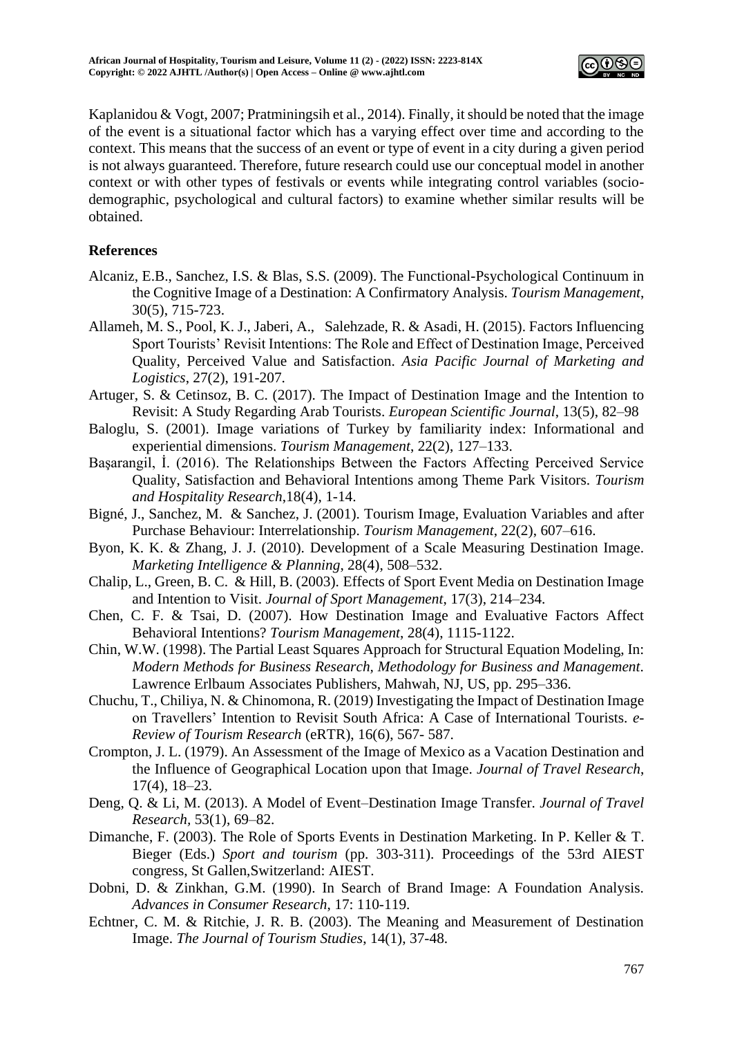

Kaplanidou & Vogt, 2007; Pratminingsih et al., 2014). Finally, it should be noted that the image of the event is a situational factor which has a varying effect over time and according to the context. This means that the success of an event or type of event in a city during a given period is not always guaranteed. Therefore, future research could use our conceptual model in another context or with other types of festivals or events while integrating control variables (sociodemographic, psychological and cultural factors) to examine whether similar results will be obtained.

# **References**

- Alcaniz, E.B., Sanchez, I.S. & Blas, S.S. (2009). The Functional-Psychological Continuum in the Cognitive Image of a Destination: A Confirmatory Analysis. *Tourism Management*, 30(5), 715-723.
- Allameh, M. S., Pool, K. J., Jaberi, A., Salehzade, R. & Asadi, H. (2015). Factors Influencing Sport Tourists' Revisit Intentions: The Role and Effect of Destination Image, Perceived Quality, Perceived Value and Satisfaction. *Asia Pacific Journal of Marketing and Logistics*, 27(2), 191-207.
- Artuger, S. & Cetinsoz, B. C. (2017). The Impact of Destination Image and the Intention to Revisit: A Study Regarding Arab Tourists. *European Scientific Journal*, 13(5), 82–98
- Baloglu, S. (2001). Image variations of Turkey by familiarity index: Informational and experiential dimensions. *Tourism Management*, 22(2), 127–133.
- Başarangil, İ. (2016). The Relationships Between the Factors Affecting Perceived Service Quality, Satisfaction and Behavioral Intentions among Theme Park Visitors. *Tourism and Hospitality Research*,18(4), 1-14.
- Bigné, J., Sanchez, M. & Sanchez, J. (2001). Tourism Image, Evaluation Variables and after Purchase Behaviour: Interrelationship. *Tourism Management*, 22(2), 607–616.
- Byon, K. K. & Zhang, J. J. (2010). Development of a Scale Measuring Destination Image. *Marketing Intelligence & Planning*, 28(4), 508–532.
- Chalip, L., Green, B. C. & Hill, B. (2003). Effects of Sport Event Media on Destination Image and Intention to Visit. *Journal of Sport Management*, 17(3), 214–234.
- Chen, C. F. & Tsai, D. (2007). How Destination Image and Evaluative Factors Affect Behavioral Intentions? *Tourism Management*, 28(4), 1115-1122.
- Chin, W.W. (1998). The Partial Least Squares Approach for Structural Equation Modeling, In: *Modern Methods for Business Research, Methodology for Business and Management.*  Lawrence Erlbaum Associates Publishers, Mahwah, NJ, US, pp. 295–336.
- Chuchu, T., Chiliya, N. & Chinomona, R. (2019) Investigating the Impact of Destination Image on Travellers' Intention to Revisit South Africa: A Case of International Tourists. *e-Review of Tourism Research* (eRTR), 16(6), 567- 587.
- Crompton, J. L. (1979). An Assessment of the Image of Mexico as a Vacation Destination and the Influence of Geographical Location upon that Image. *Journal of Travel Research*, 17(4), 18–23.
- Deng, Q. & Li, M. (2013). A Model of Event–Destination Image Transfer. *Journal of Travel Research,* 53(1), 69–82.
- Dimanche, F. (2003). The Role of Sports Events in Destination Marketing. In P. Keller & T. Bieger (Eds.) *Sport and tourism* (pp. 303-311). Proceedings of the 53rd AIEST congress, St Gallen,Switzerland: AIEST.
- Dobni, D. & Zinkhan, G.M. (1990). In Search of Brand Image: A Foundation Analysis. *Advances in Consumer Research*, 17: 110-119.
- Echtner, C. M. & Ritchie, J. R. B. (2003). The Meaning and Measurement of Destination Image. *The Journal of Tourism Studies*, 14(1), 37-48.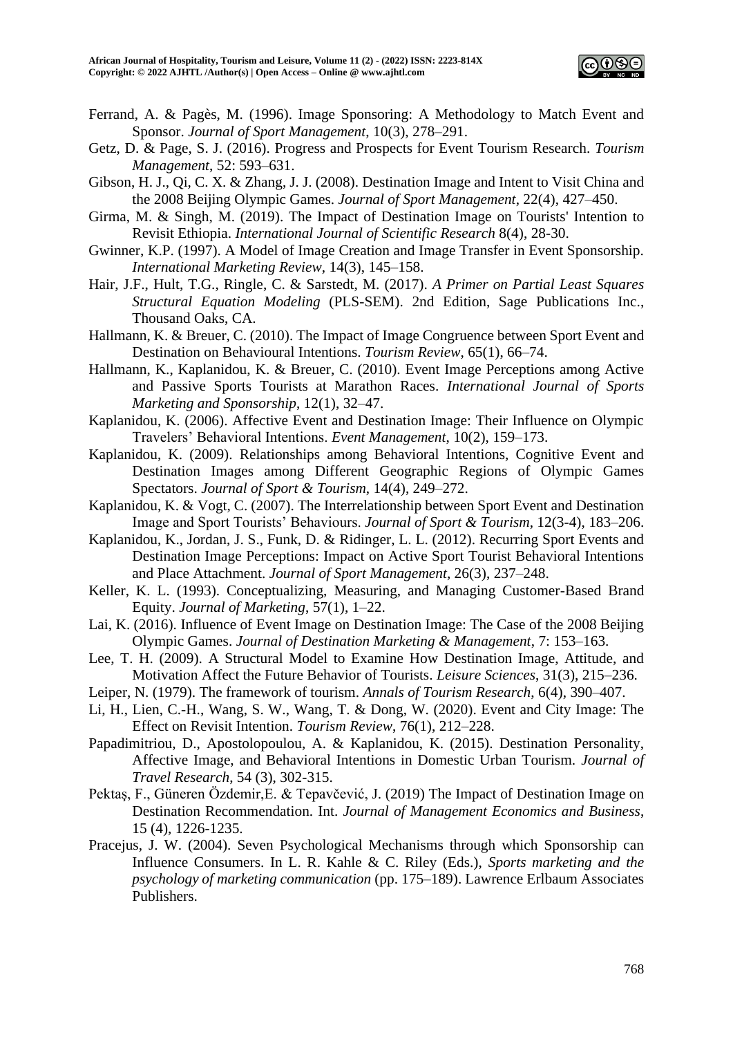

- Ferrand, A. & Pagès, M. (1996). Image Sponsoring: A Methodology to Match Event and Sponsor. *Journal of Sport Management*, 10(3), 278–291.
- Getz, D. & Page, S. J. (2016). Progress and Prospects for Event Tourism Research. *Tourism Management*, 52: 593–631.
- Gibson, H. J., Qi, C. X. & Zhang, J. J. (2008). Destination Image and Intent to Visit China and the 2008 Beijing Olympic Games. *Journal of Sport Management*, 22(4), 427–450.
- Girma, M. & Singh, M. (2019). The Impact of Destination Image on Tourists' Intention to Revisit Ethiopia. *International Journal of Scientific Research* 8(4), 28-30.
- Gwinner, K.P. (1997). A Model of Image Creation and Image Transfer in Event Sponsorship. *International Marketing Review*, 14(3), 145–158.
- Hair, J.F., Hult, T.G., Ringle, C. & Sarstedt, M. (2017). *A Primer on Partial Least Squares Structural Equation Modeling* (PLS-SEM). 2nd Edition, Sage Publications Inc., Thousand Oaks, CA.
- Hallmann, K. & Breuer, C. (2010). The Impact of Image Congruence between Sport Event and Destination on Behavioural Intentions. *Tourism Review*, 65(1), 66–74.
- Hallmann, K., Kaplanidou, K. & Breuer, C. (2010). Event Image Perceptions among Active and Passive Sports Tourists at Marathon Races. *International Journal of Sports Marketing and Sponsorship*, 12(1), 32–47.
- Kaplanidou, K. (2006). Affective Event and Destination Image: Their Influence on Olympic Travelers' Behavioral Intentions. *Event Management*, 10(2), 159–173.
- Kaplanidou, K. (2009). Relationships among Behavioral Intentions, Cognitive Event and Destination Images among Different Geographic Regions of Olympic Games Spectators. *Journal of Sport & Tourism*, 14(4), 249–272.
- Kaplanidou, K. & Vogt, C. (2007). The Interrelationship between Sport Event and Destination Image and Sport Tourists' Behaviours. *Journal of Sport & Tourism*, 12(3-4), 183–206.
- Kaplanidou, K., Jordan, J. S., Funk, D. & Ridinger, L. L. (2012). Recurring Sport Events and Destination Image Perceptions: Impact on Active Sport Tourist Behavioral Intentions and Place Attachment. *Journal of Sport Management*, 26(3), 237–248.
- Keller, K. L. (1993). Conceptualizing, Measuring, and Managing Customer-Based Brand Equity. *Journal of Marketing*, 57(1), 1–22.
- Lai, K. (2016). Influence of Event Image on Destination Image: The Case of the 2008 Beijing Olympic Games. *Journal of Destination Marketing & Management*, 7: 153–163.
- Lee, T. H. (2009). A Structural Model to Examine How Destination Image, Attitude, and Motivation Affect the Future Behavior of Tourists. *Leisure Sciences*, 31(3), 215–236.
- Leiper, N. (1979). The framework of tourism. *Annals of Tourism Research*, 6(4), 390–407.
- Li, H., Lien, C.-H., Wang, S. W., Wang, T. & Dong, W. (2020). Event and City Image: The Effect on Revisit Intention. *Tourism Review*, 76(1), 212–228.
- Papadimitriou, D., Apostolopoulou, A. & Kaplanidou, K. (2015). Destination Personality, Affective Image, and Behavioral Intentions in Domestic Urban Tourism. *Journal of Travel Research*, 54 (3), 302-315.
- Pektaş, F., Güneren Özdemir,E. & Tepavčević, J. (2019) The Impact of Destination Image on Destination Recommendation. Int. *Journal of Management Economics and Business*, 15 (4), 1226-1235.
- Pracejus, J. W. (2004). Seven Psychological Mechanisms through which Sponsorship can Influence Consumers. In L. R. Kahle & C. Riley (Eds.), *Sports marketing and the psychology of marketing communication* (pp. 175–189). Lawrence Erlbaum Associates Publishers.